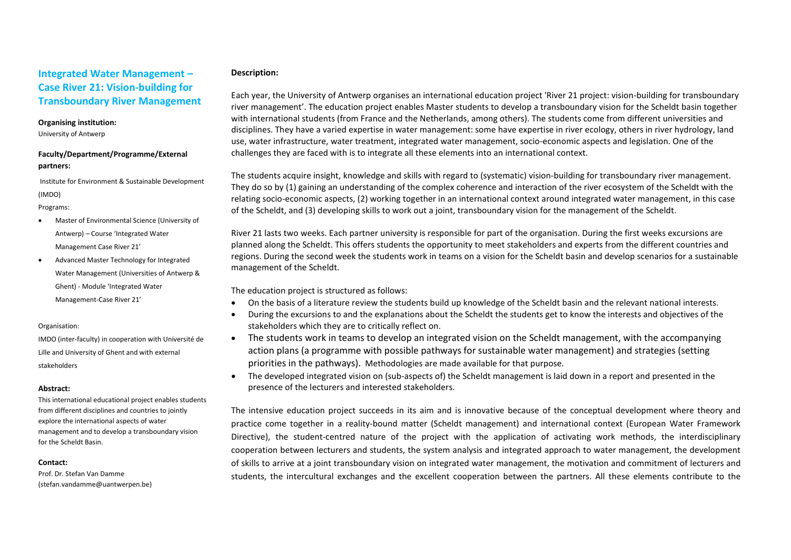# **Integrated Water Management – Case River 21: Vision-building for Transboundary River Management**

# **Organising institution:**

University of Antwerp

# **Faculty/Department/Programme/External partners:**

Institute for Environment & Sustainable Development (IMDO)

Programs:

- Master of Environmental Science (University of Antwerp) – Course 'Integrated Water Management Case River 21'
- Advanced Master Technology for Integrated Water Management (Universities of Antwerp & Ghent) - Module 'Integrated Water Management-Case River 21'

#### Organisation:

IMDO (inter-faculty) in cooperation with Université de Lille and University of Ghent and with external stakeholders

#### **Abstract:**

This international educational project enables students from different disciplines and countries to jointly explore the international aspects of water management and to develop a transboundary vision for the Scheldt Basin.

#### **Contact:**

Prof. Dr. Stefan Van Damme [\(stefan.vandamme@uantwerpen.be\)](mailto:stefan.vandamme@uantwerpen.be)

## **Description:**

Each year, the University of Antwerp organises an international education project 'River 21 project: vision-building for transboundary river management'. The education project enables Master students to develop a transboundary vision for the Scheldt basin together with international students (from France and the Netherlands, among others). The students come from different universities and disciplines. They have a varied expertise in water management: some have expertise in river ecology, others in river hydrology, land use, water infrastructure, water treatment, integrated water management, socio-economic aspects and legislation. One of the challenges they are faced with is to integrate all these elements into an international context.

The students acquire insight, knowledge and skills with regard to (systematic) vision-building for transboundary river management. They do so by (1) gaining an understanding of the complex coherence and interaction of the river ecosystem of the Scheldt with the relating socio-economic aspects, (2) working together in an international context around integrated water management, in this case of the Scheldt, and (3) developing skills to work out a joint, transboundary vision for the management of the Scheldt.

River 21 lasts two weeks. Each partner university is responsible for part of the organisation. During the first weeks excursions are planned along the Scheldt. This offers students the opportunity to meet stakeholders and experts from the different countries and regions. During the second week the students work in teams on a vision for the Scheldt basin and develop scenarios for a sustainable management of the Scheldt.

The education project is structured as follows:

- On the basis of a literature review the students build up knowledge of the Scheldt basin and the relevant national interests.
- During the excursions to and the explanations about the Scheldt the students get to know the interests and objectives of the stakeholders which they are to critically reflect on.
- The students work in teams to develop an integrated vision on the Scheldt management, with the accompanying action plans (a programme with possible pathways for sustainable water management) and strategies (setting priorities in the pathways). Methodologies are made available for that purpose.
- The developed integrated vision on (sub-aspects of) the Scheldt management is laid down in a report and presented in the presence of the lecturers and interested stakeholders.

The intensive education project succeeds in its aim and is innovative because of the conceptual development where theory and practice come together in a reality-bound matter (Scheldt management) and international context (European Water Framework Directive), the student-centred nature of the project with the application of activating work methods, the interdisciplinary cooperation between lecturers and students, the system analysis and integrated approach to water management, the development of skills to arrive at a joint transboundary vision on integrated water management, the motivation and commitment of lecturers and students, the intercultural exchanges and the excellent cooperation between the partners. All these elements contribute to the